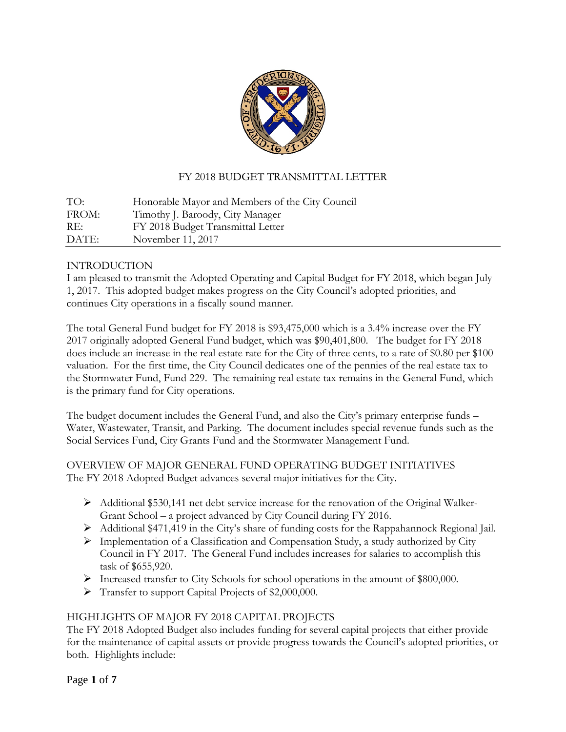

# FY 2018 BUDGET TRANSMITTAL LETTER

TO: Honorable Mayor and Members of the City Council FROM: Timothy J. Baroody, City Manager RE: FY 2018 Budget Transmittal Letter DATE: November 11, 2017

## INTRODUCTION

I am pleased to transmit the Adopted Operating and Capital Budget for FY 2018, which began July 1, 2017. This adopted budget makes progress on the City Council's adopted priorities, and continues City operations in a fiscally sound manner.

The total General Fund budget for FY 2018 is \$93,475,000 which is a 3.4% increase over the FY 2017 originally adopted General Fund budget, which was \$90,401,800. The budget for FY 2018 does include an increase in the real estate rate for the City of three cents, to a rate of \$0.80 per \$100 valuation. For the first time, the City Council dedicates one of the pennies of the real estate tax to the Stormwater Fund, Fund 229. The remaining real estate tax remains in the General Fund, which is the primary fund for City operations.

The budget document includes the General Fund, and also the City's primary enterprise funds – Water, Wastewater, Transit, and Parking. The document includes special revenue funds such as the Social Services Fund, City Grants Fund and the Stormwater Management Fund.

# OVERVIEW OF MAJOR GENERAL FUND OPERATING BUDGET INITIATIVES The FY 2018 Adopted Budget advances several major initiatives for the City.

- Additional \$530,141 net debt service increase for the renovation of the Original Walker-Grant School – a project advanced by City Council during FY 2016.
- Additional \$471,419 in the City's share of funding costs for the Rappahannock Regional Jail.
- $\triangleright$  Implementation of a Classification and Compensation Study, a study authorized by City Council in FY 2017. The General Fund includes increases for salaries to accomplish this task of \$655,920.
- Increased transfer to City Schools for school operations in the amount of \$800,000.
- Fransfer to support Capital Projects of \$2,000,000.

# HIGHLIGHTS OF MAJOR FY 2018 CAPITAL PROJECTS

The FY 2018 Adopted Budget also includes funding for several capital projects that either provide for the maintenance of capital assets or provide progress towards the Council's adopted priorities, or both. Highlights include: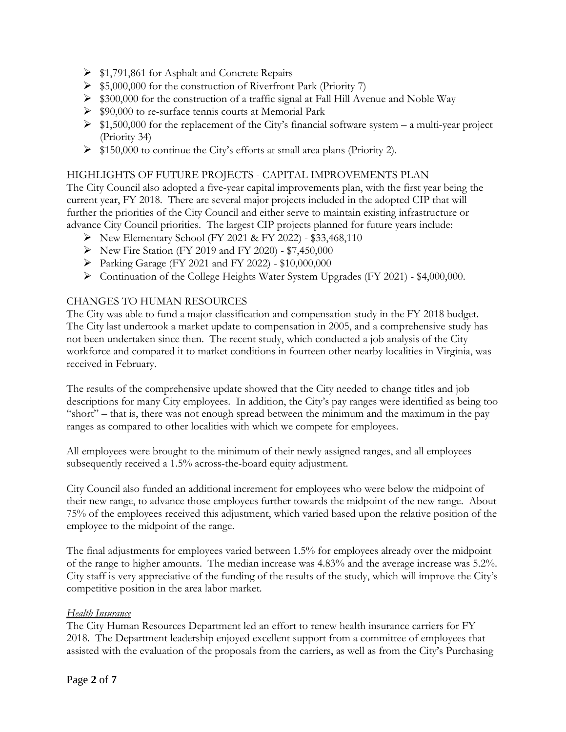- $\triangleright$  \$1,791,861 for Asphalt and Concrete Repairs
- $\triangleright$  \$5,000,000 for the construction of Riverfront Park (Priority 7)
- $\triangleright$  \$300,000 for the construction of a traffic signal at Fall Hill Avenue and Noble Way
- \$90,000 to re-surface tennis courts at Memorial Park
- $\geq$  \$1,500,000 for the replacement of the City's financial software system a multi-year project (Priority 34)
- $\triangleright$  \$150,000 to continue the City's efforts at small area plans (Priority 2).

## HIGHLIGHTS OF FUTURE PROJECTS - CAPITAL IMPROVEMENTS PLAN

The City Council also adopted a five-year capital improvements plan, with the first year being the current year, FY 2018. There are several major projects included in the adopted CIP that will further the priorities of the City Council and either serve to maintain existing infrastructure or advance City Council priorities. The largest CIP projects planned for future years include:

- New Elementary School (FY 2021 & FY 2022) \$33,468,110
- ▶ New Fire Station (FY 2019 and FY 2020) \$7,450,000
- Parking Garage (FY 2021 and FY 2022) \$10,000,000
- Continuation of the College Heights Water System Upgrades (FY 2021) \$4,000,000.

#### CHANGES TO HUMAN RESOURCES

The City was able to fund a major classification and compensation study in the FY 2018 budget. The City last undertook a market update to compensation in 2005, and a comprehensive study has not been undertaken since then. The recent study, which conducted a job analysis of the City workforce and compared it to market conditions in fourteen other nearby localities in Virginia, was received in February.

The results of the comprehensive update showed that the City needed to change titles and job descriptions for many City employees. In addition, the City's pay ranges were identified as being too "short" – that is, there was not enough spread between the minimum and the maximum in the pay ranges as compared to other localities with which we compete for employees.

All employees were brought to the minimum of their newly assigned ranges, and all employees subsequently received a 1.5% across-the-board equity adjustment.

City Council also funded an additional increment for employees who were below the midpoint of their new range, to advance those employees further towards the midpoint of the new range. About 75% of the employees received this adjustment, which varied based upon the relative position of the employee to the midpoint of the range.

The final adjustments for employees varied between 1.5% for employees already over the midpoint of the range to higher amounts. The median increase was 4.83% and the average increase was 5.2%. City staff is very appreciative of the funding of the results of the study, which will improve the City's competitive position in the area labor market.

#### *Health Insurance*

The City Human Resources Department led an effort to renew health insurance carriers for FY 2018. The Department leadership enjoyed excellent support from a committee of employees that assisted with the evaluation of the proposals from the carriers, as well as from the City's Purchasing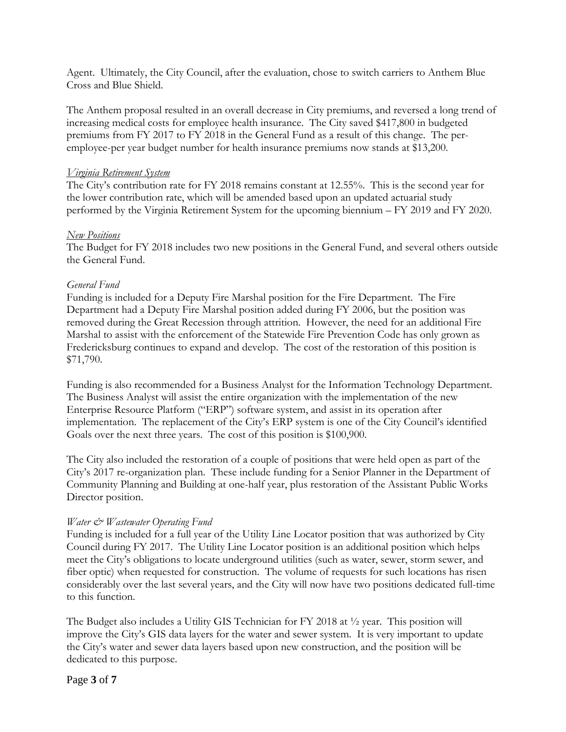Agent. Ultimately, the City Council, after the evaluation, chose to switch carriers to Anthem Blue Cross and Blue Shield.

The Anthem proposal resulted in an overall decrease in City premiums, and reversed a long trend of increasing medical costs for employee health insurance. The City saved \$417,800 in budgeted premiums from FY 2017 to FY 2018 in the General Fund as a result of this change. The peremployee-per year budget number for health insurance premiums now stands at \$13,200.

#### *Virginia Retirement System*

The City's contribution rate for FY 2018 remains constant at 12.55%. This is the second year for the lower contribution rate, which will be amended based upon an updated actuarial study performed by the Virginia Retirement System for the upcoming biennium – FY 2019 and FY 2020.

#### *New Positions*

The Budget for FY 2018 includes two new positions in the General Fund, and several others outside the General Fund.

## *General Fund*

Funding is included for a Deputy Fire Marshal position for the Fire Department. The Fire Department had a Deputy Fire Marshal position added during FY 2006, but the position was removed during the Great Recession through attrition. However, the need for an additional Fire Marshal to assist with the enforcement of the Statewide Fire Prevention Code has only grown as Fredericksburg continues to expand and develop. The cost of the restoration of this position is \$71,790.

Funding is also recommended for a Business Analyst for the Information Technology Department. The Business Analyst will assist the entire organization with the implementation of the new Enterprise Resource Platform ("ERP") software system, and assist in its operation after implementation. The replacement of the City's ERP system is one of the City Council's identified Goals over the next three years. The cost of this position is \$100,900.

The City also included the restoration of a couple of positions that were held open as part of the City's 2017 re-organization plan. These include funding for a Senior Planner in the Department of Community Planning and Building at one-half year, plus restoration of the Assistant Public Works Director position.

## *Water & Wastewater Operating Fund*

Funding is included for a full year of the Utility Line Locator position that was authorized by City Council during FY 2017. The Utility Line Locator position is an additional position which helps meet the City's obligations to locate underground utilities (such as water, sewer, storm sewer, and fiber optic) when requested for construction. The volume of requests for such locations has risen considerably over the last several years, and the City will now have two positions dedicated full-time to this function.

The Budget also includes a Utility GIS Technician for FY 2018 at ½ year. This position will improve the City's GIS data layers for the water and sewer system. It is very important to update the City's water and sewer data layers based upon new construction, and the position will be dedicated to this purpose.

## Page **3** of **7**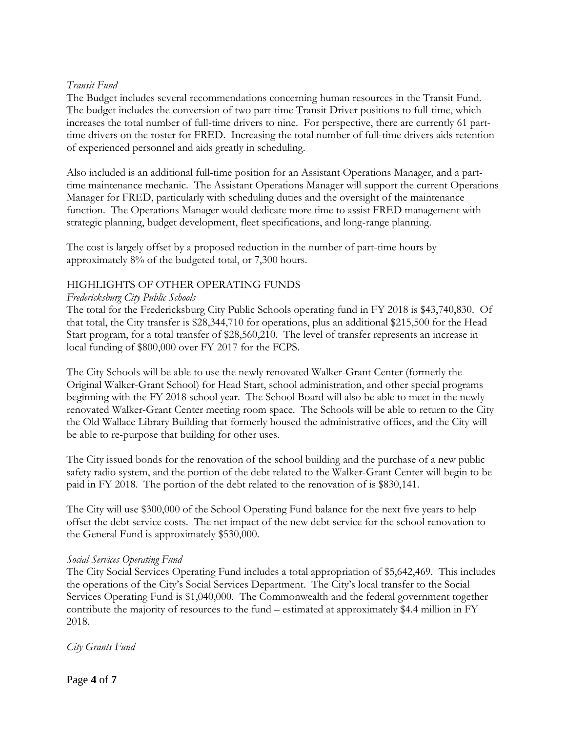## *Transit Fund*

The Budget includes several recommendations concerning human resources in the Transit Fund. The budget includes the conversion of two part-time Transit Driver positions to full-time, which increases the total number of full-time drivers to nine. For perspective, there are currently 61 parttime drivers on the roster for FRED. Increasing the total number of full-time drivers aids retention of experienced personnel and aids greatly in scheduling.

Also included is an additional full-time position for an Assistant Operations Manager, and a parttime maintenance mechanic. The Assistant Operations Manager will support the current Operations Manager for FRED, particularly with scheduling duties and the oversight of the maintenance function. The Operations Manager would dedicate more time to assist FRED management with strategic planning, budget development, fleet specifications, and long-range planning.

The cost is largely offset by a proposed reduction in the number of part-time hours by approximately 8% of the budgeted total, or 7,300 hours.

#### HIGHLIGHTS OF OTHER OPERATING FUNDS

#### *Fredericksburg City Public Schools*

The total for the Fredericksburg City Public Schools operating fund in FY 2018 is \$43,740,830. Of that total, the City transfer is \$28,344,710 for operations, plus an additional \$215,500 for the Head Start program, for a total transfer of \$28,560,210. The level of transfer represents an increase in local funding of \$800,000 over FY 2017 for the FCPS.

The City Schools will be able to use the newly renovated Walker-Grant Center (formerly the Original Walker-Grant School) for Head Start, school administration, and other special programs beginning with the FY 2018 school year. The School Board will also be able to meet in the newly renovated Walker-Grant Center meeting room space. The Schools will be able to return to the City the Old Wallace Library Building that formerly housed the administrative offices, and the City will be able to re-purpose that building for other uses.

The City issued bonds for the renovation of the school building and the purchase of a new public safety radio system, and the portion of the debt related to the Walker-Grant Center will begin to be paid in FY 2018. The portion of the debt related to the renovation of is \$830,141.

The City will use \$300,000 of the School Operating Fund balance for the next five years to help offset the debt service costs. The net impact of the new debt service for the school renovation to the General Fund is approximately \$530,000.

#### *Social Services Operating Fund*

The City Social Services Operating Fund includes a total appropriation of \$5,642,469. This includes the operations of the City's Social Services Department. The City's local transfer to the Social Services Operating Fund is \$1,040,000. The Commonwealth and the federal government together contribute the majority of resources to the fund – estimated at approximately \$4.4 million in FY 2018.

*City Grants Fund*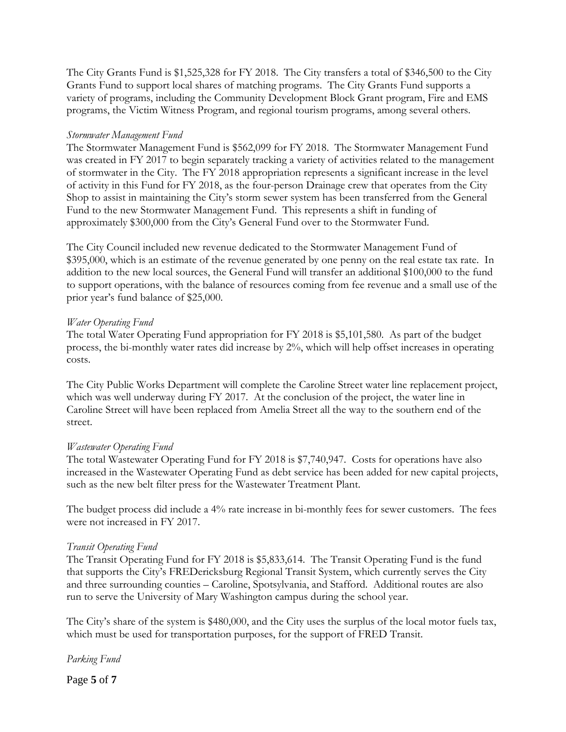The City Grants Fund is \$1,525,328 for FY 2018. The City transfers a total of \$346,500 to the City Grants Fund to support local shares of matching programs. The City Grants Fund supports a variety of programs, including the Community Development Block Grant program, Fire and EMS programs, the Victim Witness Program, and regional tourism programs, among several others.

## *Stormwater Management Fund*

The Stormwater Management Fund is \$562,099 for FY 2018. The Stormwater Management Fund was created in FY 2017 to begin separately tracking a variety of activities related to the management of stormwater in the City. The FY 2018 appropriation represents a significant increase in the level of activity in this Fund for FY 2018, as the four-person Drainage crew that operates from the City Shop to assist in maintaining the City's storm sewer system has been transferred from the General Fund to the new Stormwater Management Fund. This represents a shift in funding of approximately \$300,000 from the City's General Fund over to the Stormwater Fund.

The City Council included new revenue dedicated to the Stormwater Management Fund of \$395,000, which is an estimate of the revenue generated by one penny on the real estate tax rate. In addition to the new local sources, the General Fund will transfer an additional \$100,000 to the fund to support operations, with the balance of resources coming from fee revenue and a small use of the prior year's fund balance of \$25,000.

## *Water Operating Fund*

The total Water Operating Fund appropriation for FY 2018 is \$5,101,580. As part of the budget process, the bi-monthly water rates did increase by 2%, which will help offset increases in operating costs.

The City Public Works Department will complete the Caroline Street water line replacement project, which was well underway during FY 2017. At the conclusion of the project, the water line in Caroline Street will have been replaced from Amelia Street all the way to the southern end of the street.

## *Wastewater Operating Fund*

The total Wastewater Operating Fund for FY 2018 is \$7,740,947. Costs for operations have also increased in the Wastewater Operating Fund as debt service has been added for new capital projects, such as the new belt filter press for the Wastewater Treatment Plant.

The budget process did include a 4% rate increase in bi-monthly fees for sewer customers. The fees were not increased in FY 2017.

## *Transit Operating Fund*

The Transit Operating Fund for FY 2018 is \$5,833,614. The Transit Operating Fund is the fund that supports the City's FREDericksburg Regional Transit System, which currently serves the City and three surrounding counties – Caroline, Spotsylvania, and Stafford. Additional routes are also run to serve the University of Mary Washington campus during the school year.

The City's share of the system is \$480,000, and the City uses the surplus of the local motor fuels tax, which must be used for transportation purposes, for the support of FRED Transit.

*Parking Fund* 

Page **5** of **7**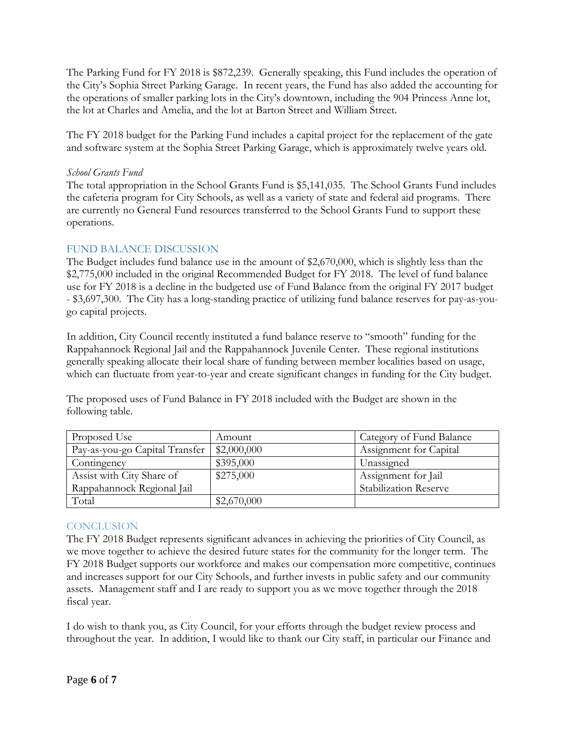The Parking Fund for FY 2018 is \$872,239. Generally speaking, this Fund includes the operation of the City's Sophia Street Parking Garage. In recent years, the Fund has also added the accounting for the operations of smaller parking lots in the City's downtown, including the 904 Princess Anne lot, the lot at Charles and Amelia, and the lot at Barton Street and William Street.

The FY 2018 budget for the Parking Fund includes a capital project for the replacement of the gate and software system at the Sophia Street Parking Garage, which is approximately twelve years old.

## *School Grants Fund*

The total appropriation in the School Grants Fund is \$5,141,035. The School Grants Fund includes the cafeteria program for City Schools, as well as a variety of state and federal aid programs. There are currently no General Fund resources transferred to the School Grants Fund to support these operations.

# FUND BALANCE DISCUSSION

The Budget includes fund balance use in the amount of \$2,670,000, which is slightly less than the \$2,775,000 included in the original Recommended Budget for FY 2018. The level of fund balance use for FY 2018 is a decline in the budgeted use of Fund Balance from the original FY 2017 budget - \$3,697,300. The City has a long-standing practice of utilizing fund balance reserves for pay-as-yougo capital projects.

In addition, City Council recently instituted a fund balance reserve to "smooth" funding for the Rappahannock Regional Jail and the Rappahannock Juvenile Center. These regional institutions generally speaking allocate their local share of funding between member localities based on usage, which can fluctuate from year-to-year and create significant changes in funding for the City budget.

The proposed uses of Fund Balance in FY 2018 included with the Budget are shown in the following table.

| Proposed Use                   | Amount      | Category of Fund Balance     |
|--------------------------------|-------------|------------------------------|
| Pay-as-you-go Capital Transfer | \$2,000,000 | Assignment for Capital       |
| Contingency                    | \$395,000   | Unassigned                   |
| Assist with City Share of      | \$275,000   | Assignment for Jail          |
| Rappahannock Regional Jail     |             | <b>Stabilization Reserve</b> |
| Total                          | \$2,670,000 |                              |

# **CONCLUSION**

The FY 2018 Budget represents significant advances in achieving the priorities of City Council, as we move together to achieve the desired future states for the community for the longer term. The FY 2018 Budget supports our workforce and makes our compensation more competitive, continues and increases support for our City Schools, and further invests in public safety and our community assets. Management staff and I are ready to support you as we move together through the 2018 fiscal year.

I do wish to thank you, as City Council, for your efforts through the budget review process and throughout the year. In addition, I would like to thank our City staff, in particular our Finance and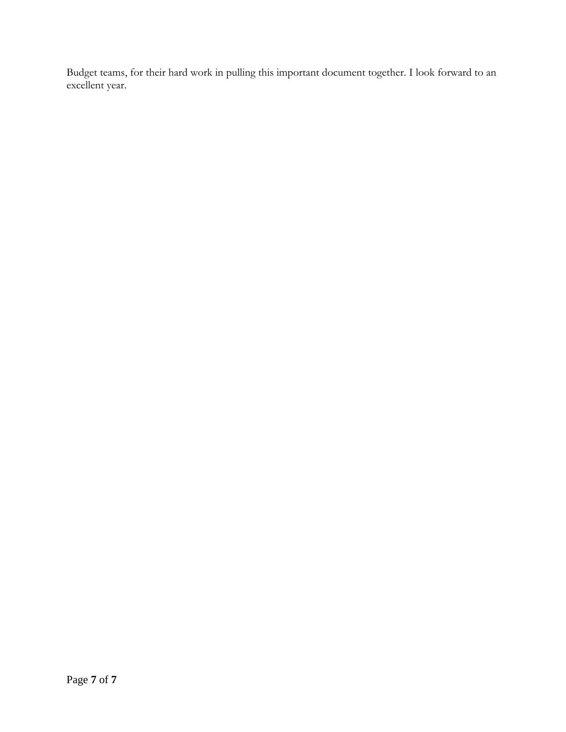Budget teams, for their hard work in pulling this important document together. I look forward to an excellent year.